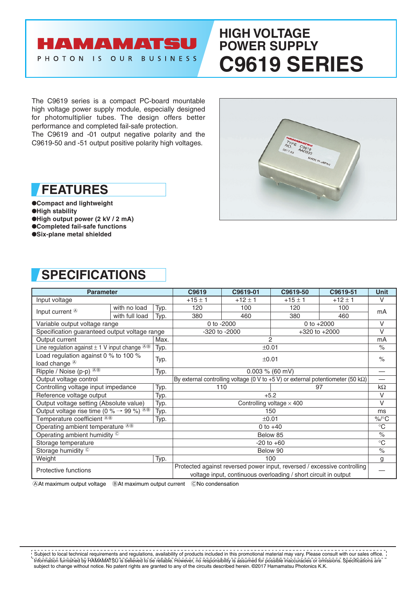## AMAMATSU PHOTON IS OUR BUSINESS

# **HIGH VOLTAGE POWER SUPPLY C9619 SERIES**

The C9619 series is a compact PC-board mountable high voltage power supply module, especially designed for photomultiplier tubes. The design offers better performance and completed fail-safe protection.

The C9619 and -01 output negative polarity and the C9619-50 and -51 output positive polarity high voltages.



●**Compact and lightweight** ●**High stability**

●**High output power (2 kV / 2 mA)**

●**Completed fail-safe functions**

●**Six-plane metal shielded**

# **SPECIFICATIONS**

| <b>Parameter</b>                                                                    |                |                                                                                                                                             | C9619                                                                                    | C9619-01    | C9619-50    | C9619-51                 | <b>Unit</b>              |
|-------------------------------------------------------------------------------------|----------------|---------------------------------------------------------------------------------------------------------------------------------------------|------------------------------------------------------------------------------------------|-------------|-------------|--------------------------|--------------------------|
| Input voltage                                                                       |                |                                                                                                                                             | $+15 \pm 1$                                                                              | $+12 \pm 1$ | $+15 \pm 1$ | $+12 \pm 1$              | V                        |
| Input current $\circledast$                                                         | with no load   | Typ.                                                                                                                                        | 120                                                                                      | 100         | 120         | 100                      | mA                       |
|                                                                                     | with full load | Typ.                                                                                                                                        | 380                                                                                      | 460         | 380         | 460                      |                          |
| Variable output voltage range                                                       |                |                                                                                                                                             | 0 to -2000<br>0 to $+2000$                                                               |             |             | $\vee$                   |                          |
| Specification guaranteed output voltage range                                       |                |                                                                                                                                             | -320 to -2000<br>$+320$ to $+2000$                                                       |             |             | $\vee$                   |                          |
| Output current                                                                      |                | Max.                                                                                                                                        | $\overline{2}$                                                                           |             |             |                          | mA                       |
| Line regulation against $\pm$ 1 V input change $^{\circledR\oplus}$                 |                | Typ.                                                                                                                                        | ±0.01                                                                                    |             |             |                          | $\frac{1}{\sqrt{2}}$     |
| Load regulation against 0 $%$ to 100 $%$<br>load change <sup>®</sup>                |                | Typ.                                                                                                                                        | ±0.01                                                                                    |             |             |                          | $\%$                     |
| Ripple / Noise (p-p) <sup>@®</sup>                                                  |                | Typ.                                                                                                                                        | 0.003 % (60 mV)                                                                          |             |             | $\overline{\phantom{0}}$ |                          |
| Output voltage control                                                              |                |                                                                                                                                             | By external controlling voltage (0 V to +5 V) or external potentiometer (50 k $\Omega$ ) |             |             |                          | $\overline{\phantom{0}}$ |
| Controlling voltage input impedance                                                 |                | Typ.                                                                                                                                        | 110<br>97                                                                                |             | $k\Omega$   |                          |                          |
| Reference voltage output                                                            |                | Typ.                                                                                                                                        | $+5.2$                                                                                   |             |             |                          | V                        |
| Output voltage setting (Absolute value)                                             |                | Typ.                                                                                                                                        | Controlling voltage $\times$ 400                                                         |             |             | $\vee$                   |                          |
| Output voltage rise time (0 % $\rightarrow$ 99 %) <sup><math>\circledR</math></sup> |                | Typ.                                                                                                                                        | 150                                                                                      |             |             | ms                       |                          |
| Temperature coefficient <sup>®®</sup>                                               |                | Typ.                                                                                                                                        | ±0.01                                                                                    |             |             | $\%$ /°C                 |                          |
| Operating ambient temperature <sup>®®</sup>                                         |                |                                                                                                                                             | 0 to $+40$                                                                               |             |             | $^{\circ}C$              |                          |
| Operating ambient humidity ©                                                        |                |                                                                                                                                             | Below 85                                                                                 |             |             | $\%$                     |                          |
| Storage temperature                                                                 |                |                                                                                                                                             | $-20$ to $+60$                                                                           |             |             | $\rm ^{\circ}C$          |                          |
| Storage humidity <sup>C</sup>                                                       |                |                                                                                                                                             | Below 90                                                                                 |             |             |                          | $\%$                     |
| Weight                                                                              |                | Typ.                                                                                                                                        | 100                                                                                      |             |             | g                        |                          |
| Protective functions                                                                |                | Protected against reversed power input, reversed / excessive controlling<br>voltage input, continuous overloading / short circuit in output |                                                                                          |             |             |                          |                          |
|                                                                                     |                |                                                                                                                                             |                                                                                          |             |             |                          |                          |

AAt maximum output voltage BAt maximum output current CNo condensation

Information furnished by HAMAMATSU is believed to be reliable. However, no responsibility is assumed for possible inaccuracies or omissions. Specifications are subject to change without notice. No patent rights are granted to any of the circuits described herein. ©2017 Hamamatsu Photonics K.K. Subject to local technical requirements and regulations, availability of products included in this promotional material may vary. Please consult with our sales office.